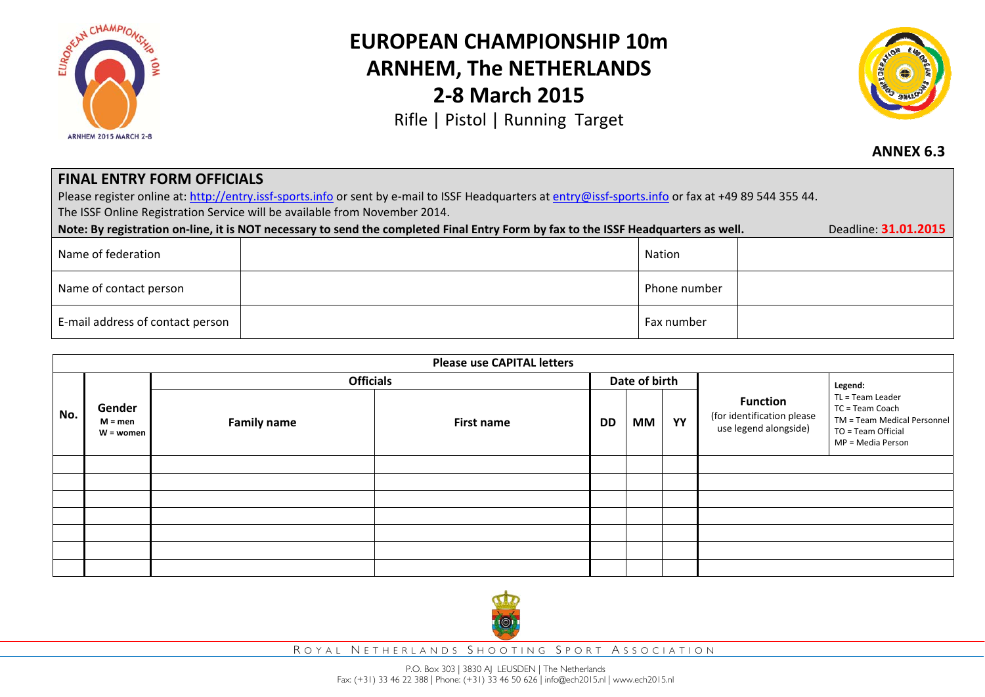

## **EUROPEAN CHAMPIONSHIP 10mARNHEM, The NETHERLANDS 2‐8 March 2015**

Rifle | Pistol | Running Target



## **ANNEX 6.3**

## **FINAL ENTRY FORM OFFICIALS**

Please register online at: http://entry.issf-sports.info or sent by e-mail to ISSF Headquarters at entry@issf-sports.info or fax at +49 89 544 355 44. The ISSF Online Registration Service will be available from November 2014.

| Deadline 31.01.2015<br>Note: By registration on-line, it is NOT necessary to send the completed Final Entry Form by fax to the ISSF Headquarters as well. |  |              |  |  |  |
|-----------------------------------------------------------------------------------------------------------------------------------------------------------|--|--------------|--|--|--|
| Name of federation                                                                                                                                        |  | Nation       |  |  |  |
| Name of contact person                                                                                                                                    |  | Phone number |  |  |  |
| E-mail address of contact person                                                                                                                          |  | Fax number   |  |  |  |

| <b>Please use CAPITAL letters</b> |                                    |                    |            |               |           |    |                                                                        |                                                                                                               |
|-----------------------------------|------------------------------------|--------------------|------------|---------------|-----------|----|------------------------------------------------------------------------|---------------------------------------------------------------------------------------------------------------|
|                                   |                                    | <b>Officials</b>   |            | Date of birth |           |    |                                                                        | Legend:                                                                                                       |
| No.                               | Gender<br>$M = men$<br>$W =$ women | <b>Family name</b> | First name | DD            | <b>MM</b> | YY | <b>Function</b><br>(for identification please<br>use legend alongside) | TL = Team Leader<br>TC = Team Coach<br>TM = Team Medical Personnel<br>TO = Team Official<br>MP = Media Person |
|                                   |                                    |                    |            |               |           |    |                                                                        |                                                                                                               |
|                                   |                                    |                    |            |               |           |    |                                                                        |                                                                                                               |
|                                   |                                    |                    |            |               |           |    |                                                                        |                                                                                                               |
|                                   |                                    |                    |            |               |           |    |                                                                        |                                                                                                               |
|                                   |                                    |                    |            |               |           |    |                                                                        |                                                                                                               |
|                                   |                                    |                    |            |               |           |    |                                                                        |                                                                                                               |
|                                   |                                    |                    |            |               |           |    |                                                                        |                                                                                                               |



R OYAL N ETHERLANDS S HOOTING S PORT A SSOCIATION